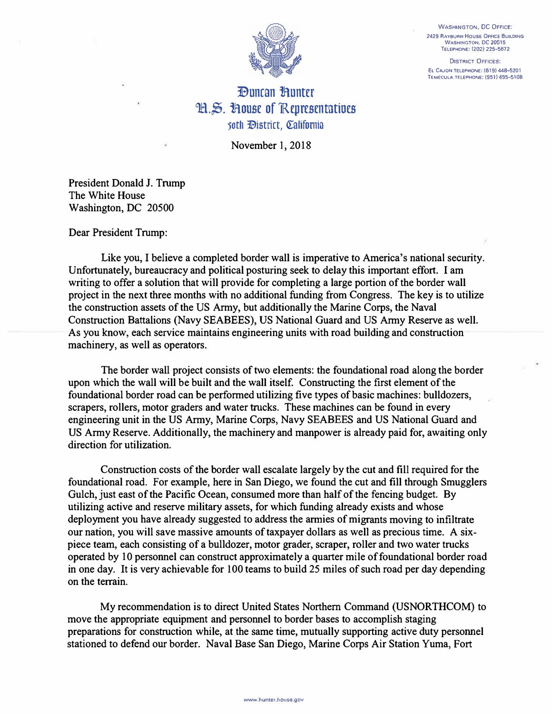**WASHINGTON, DC OFFICE: 2429 RAV8URN House OFFICE BUILDING WASHINGTON, DC 20515 TELEPHONE: (202f 225-5672** 

**DISTRICT OFFICES: EL CAJON TELEPHONE: (619) 448-5201 TEMECULA TELEPHONE: (951) 695-5108** 



## *<u>Duncan Bunter</u>* H.S. House of Representatives soth *District*, California

November 1, 2018

President Donald J. Trump The White House Washington, DC 20500

Dear President Trump:

Like you, I believe a completed border wall is imperative to America's national security. Unfortunately, bureaucracy and political posturing seek to delay this important effort. I am writing to offer a solution that will provide for completing a large portion of the border wall project in the next three months with no additional funding from Congress. The key is to utilize the construction assets of the US Army, but additionally the Marine Corps, the Naval Construction Battalions (Navy SEABEES), US National Guard and US Army Reserve as well. As you know, each service maintains engineering units with road building and construction machinery, as well as operators.

The border wall project consists of two elements: the foundational road along the border upon which the wall will be built and the wall itself. Constructing the first element of the foundational border road can be performed utilizing five types of basic machines: bulldozers, scrapers, rollers, motor graders and water trucks. These machines can be found in every engineering unit in the US Army, Marine Corps, Navy SEABEES and US National Guard and US Army Reserve. Additionally, the machinery and manpower is already paid for, awaiting only direction for utilization.

Construction costs of the border wall escalate largely by the cut and fill required for the foundational road. For example, here in San Diego, we found the cut and fill through Smugglers Gulch, just east of the Pacific Ocean, consumed more than half of the fencing budget. By utilizing active and reserve military assets, for which funding already exists and whose deployment you have already suggested to address the armies of migrants moving to infiltrate our nation, you will save massive amounts of taxpayer dollars as well as precious time. A sixpiece team, each consisting of a bulldozer, motor grader, scraper, roller and two water trucks operated by 10 personnel can construct approximately a quarter mile of foundational border road in one day. It is very achievable for 100 teams to build 25 miles of such road per day depending on the terrain.

My recommendation is to direct United States Northern Command (USNORTHCOM) to move the appropriate equipment and personnel to border bases to accomplish staging preparations for construction while, at the same time, mutually supporting active duty personnel stationed to defend our border. Naval Base San Diego, Marine Corps Air Station Yuma, Fort